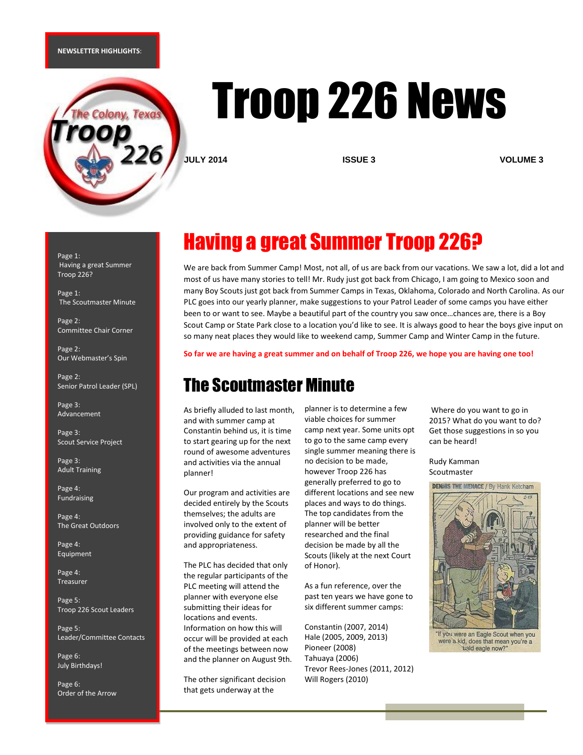#### **NEWSLETTER HIGHLIGHTS**:



# Troop 226 News

**JULY 2014 ISSUE 3 VOLUME 3**

Page 1: Having a great Summer Troop 226?

Page 1: The Scoutmaster Minute

Page 2: Committee Chair Corner

Page 2: Our Webmaster's Spin

Page 2: Senior Patrol Leader (SPL)

Page 3: Advancement

Page 3: Scout Service Project

Page 3: Adult Training

Page 4: Fundraising

Page 4: The Great Outdoors

Page 4: Equipment

Page 4: Treasurer

Page 5: Troop 226 Scout Leaders

Page 5: Leader/Committee Contacts

Page 6: July Birthdays!

Page 6: Order of the Arrow

# Having a great Summer Troop 226?

We are back from Summer Camp! Most, not all, of us are back from our vacations. We saw a lot, did a lot and most of us have many stories to tell! Mr. Rudy just got back from Chicago, I am going to Mexico soon and many Boy Scouts just got back from Summer Camps in Texas, Oklahoma, Colorado and North Carolina. As our PLC goes into our yearly planner, make suggestions to your Patrol Leader of some camps you have either been to or want to see. Maybe a beautiful part of the country you saw once…chances are, there is a Boy Scout Camp or State Park close to a location you'd like to see. It is always good to hear the boys give input on so many neat places they would like to weekend camp, Summer Camp and Winter Camp in the future.

#### **So far we are having a great summer and on behalf of Troop 226, we hope you are having one too!**

### The Scoutmaster Minute

As briefly alluded to last month, and with summer camp at Constantin behind us, it is time to start gearing up for the next round of awesome adventures and activities via the annual planner!

Our program and activities are decided entirely by the Scouts themselves; the adults are involved only to the extent of providing guidance for safety and appropriateness.

The PLC has decided that only the regular participants of the PLC meeting will attend the planner with everyone else submitting their ideas for locations and events. Information on how this will occur will be provided at each of the meetings between now and the planner on August 9th.

The other significant decision that gets underway at the

planner is to determine a few viable choices for summer camp next year. Some units opt to go to the same camp every single summer meaning there is no decision to be made, however Troop 226 has generally preferred to go to different locations and see new places and ways to do things. The top candidates from the planner will be better researched and the final decision be made by all the Scouts (likely at the next Court of Honor).

As a fun reference, over the past ten years we have gone to six different summer camps:

Constantin (2007, 2014) Hale (2005, 2009, 2013) Pioneer (2008) Tahuaya (2006) Trevor Rees-Jones (2011, 2012) Will Rogers (2010)

Where do you want to go in 2015? What do you want to do? Get those suggestions in so you can be heard!

Rudy Kamman Scoutmaster



were a kid, does that mean you're a bald eagle now?"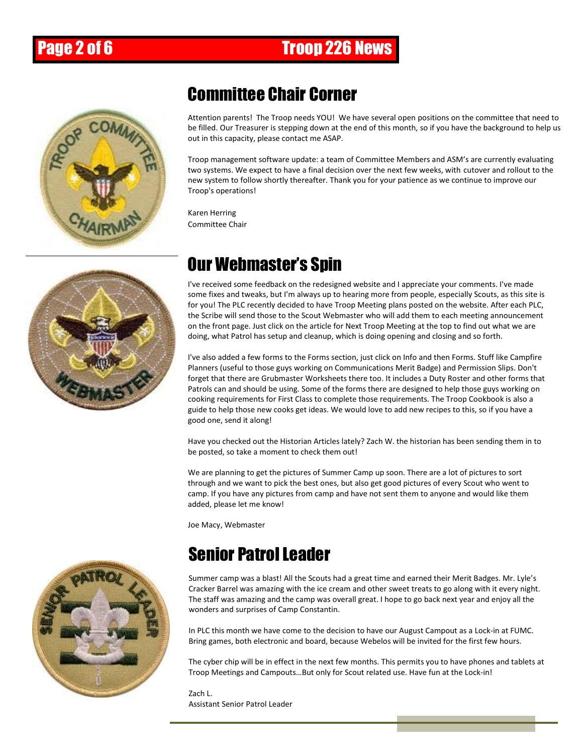

### Committee Chair Corner

Attention parents! The Troop needs YOU! We have several open positions on the committee that need to be filled. Our Treasurer is stepping down at the end of this month, so if you have the background to help us out in this capacity, please contact me ASAP.

Troop management software update: a team of Committee Members and ASM's are currently evaluating two systems. We expect to have a final decision over the next few weeks, with cutover and rollout to the new system to follow shortly thereafter. Thank you for your patience as we continue to improve our Troop's operations!

Karen Herring Committee Chair



# Our Webmaster's Spin

I've received some feedback on the redesigned website and I appreciate your comments. I've made some fixes and tweaks, but I'm always up to hearing more from people, especially Scouts, as this site is for you! The PLC recently decided to have Troop Meeting plans posted on the website. After each PLC, the Scribe will send those to the Scout Webmaster who will add them to each meeting announcement on the front page. Just click on the article for Next Troop Meeting at the top to find out what we are doing, what Patrol has setup and cleanup, which is doing opening and closing and so forth.

I've also added a few forms to the Forms section, just click on Info and then Forms. Stuff like Campfire Planners (useful to those guys working on Communications Merit Badge) and Permission Slips. Don't forget that there are Grubmaster Worksheets there too. It includes a Duty Roster and other forms that Patrols can and should be using. Some of the forms there are designed to help those guys working on cooking requirements for First Class to complete those requirements. The Troop Cookbook is also a guide to help those new cooks get ideas. We would love to add new recipes to this, so if you have a good one, send it along!

Have you checked out the Historian Articles lately? Zach W. the historian has been sending them in to be posted, so take a moment to check them out!

We are planning to get the pictures of Summer Camp up soon. There are a lot of pictures to sort through and we want to pick the best ones, but also get good pictures of every Scout who went to camp. If you have any pictures from camp and have not sent them to anyone and would like them added, please let me know!

Joe Macy, Webmaster

## Senior Patrol Leader

Summer camp was a blast! All the Scouts had a great time and earned their Merit Badges. Mr. Lyle's Cracker Barrel was amazing with the ice cream and other sweet treats to go along with it every night. The staff was amazing and the camp was overall great. I hope to go back next year and enjoy all the wonders and surprises of Camp Constantin.

In PLC this month we have come to the decision to have our August Campout as a Lock-in at FUMC. Bring games, both electronic and board, because Webelos will be invited for the first few hours.

The cyber chip will be in effect in the next few months. This permits you to have phones and tablets at Troop Meetings and Campouts…But only for Scout related use. Have fun at the Lock-in!

Zach L. Assistant Senior Patrol Leader

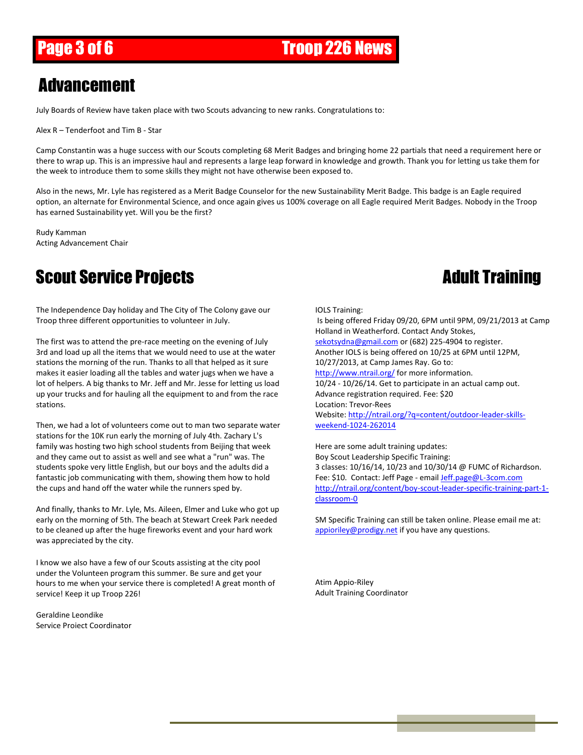#### Advancement

July Boards of Review have taken place with two Scouts advancing to new ranks. Congratulations to:

Alex R – Tenderfoot and Tim B - Star

Camp Constantin was a huge success with our Scouts completing 68 Merit Badges and bringing home 22 partials that need a requirement here or there to wrap up. This is an impressive haul and represents a large leap forward in knowledge and growth. Thank you for letting us take them for the week to introduce them to some skills they might not have otherwise been exposed to.

Also in the news, Mr. Lyle has registered as a Merit Badge Counselor for the new Sustainability Merit Badge. This badge is an Eagle required option, an alternate for Environmental Science, and once again gives us 100% coverage on all Eagle required Merit Badges. Nobody in the Troop has earned Sustainability yet. Will you be the first?

Rudy Kamman Acting Advancement Chair

# Scout Service Projects **Adult Training**

The Independence Day holiday and The City of The Colony gave our Troop three different opportunities to volunteer in July.

The first was to attend the pre-race meeting on the evening of July 3rd and load up all the items that we would need to use at the water stations the morning of the run. Thanks to all that helped as it sure makes it easier loading all the tables and water jugs when we have a lot of helpers. A big thanks to Mr. Jeff and Mr. Jesse for letting us load up your trucks and for hauling all the equipment to and from the race stations.

Then, we had a lot of volunteers come out to man two separate water stations for the 10K run early the morning of July 4th. Zachary L's family was hosting two high school students from Beijing that week and they came out to assist as well and see what a "run" was. The students spoke very little English, but our boys and the adults did a fantastic job communicating with them, showing them how to hold the cups and hand off the water while the runners sped by.

And finally, thanks to Mr. Lyle, Ms. Aileen, Elmer and Luke who got up early on the morning of 5th. The beach at Stewart Creek Park needed to be cleaned up after the huge fireworks event and your hard work was appreciated by the city.

I know we also have a few of our Scouts assisting at the city pool under the Volunteen program this summer. Be sure and get your hours to me when your service there is completed! A great month of service! Keep it up Troop 226!

Geraldine Leondike Service Project Coordinator

#### IOLS Training:

Is being offered Friday 09/20, 6PM until 9PM, 09/21/2013 at Camp Holland in Weatherford. Contact Andy Stokes, [sekotsydna@gmail.com](mailto:sekotsydna@gmail.com) or (682) 225-4904 to register. Another IOLS is being offered on 10/25 at 6PM until 12PM, 10/27/2013, at Camp James Ray. Go to: <http://www.ntrail.org/> for more information. 10/24 - 10/26/14. Get to participate in an actual camp out. Advance registration required. Fee: \$20 Location: Trevor-Rees Website: [http://ntrail.org/?q=content/outdoor-leader-skills](http://ntrail.org/?q=content/outdoor-leader-skills-weekend-1024-262014)[weekend-1024-262014](http://ntrail.org/?q=content/outdoor-leader-skills-weekend-1024-262014)

Here are some adult training updates: Boy Scout Leadership Specific Training: 3 classes: 10/16/14, 10/23 and 10/30/14 @ FUMC of Richardson. Fee: \$10. Contact: Jeff Page - email [Jeff.page@L-3com.com](mailto:Jeff.page@L-3com.com) [http://ntrail.org/content/boy-scout-leader-specific-training-part-1](http://ntrail.org/content/boy-scout-leader-specific-training-part-1-classroom-0) [classroom-0](http://ntrail.org/content/boy-scout-leader-specific-training-part-1-classroom-0)

SM Specific Training can still be taken online. Please email me at: [appioriley@prodigy.net](mailto:appioriley@prodigy.net) if you have any questions.

Atim Appio-Riley Adult Training Coordinator

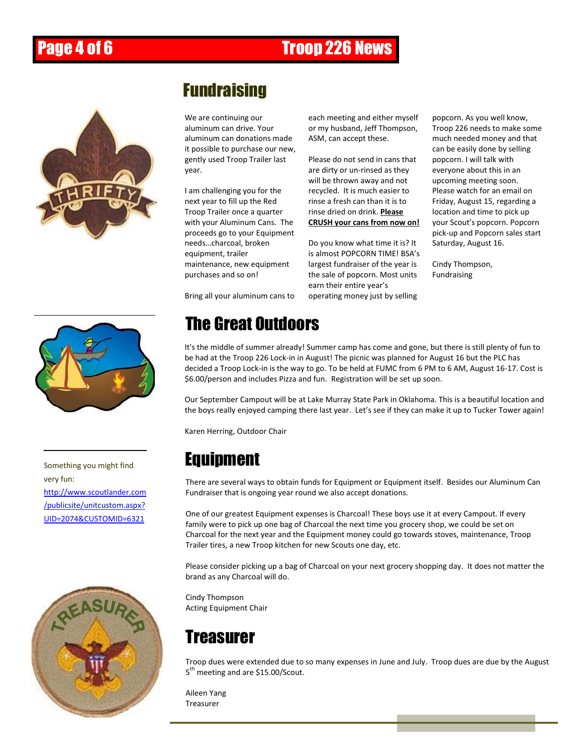## Page 4 of 6 **Troop 226 News**



### Fundraising

We are continuing our aluminum can drive. Your aluminum can donations made it possible to purchase our new, gently used Troop Trailer last year.

I am challenging you for the next year to fill up the Red Troop Trailer once a quarter with your Aluminum Cans. The proceeds go to your Equipment needs…charcoal, broken equipment, trailer maintenance, new equipment purchases and so on!

Bring all your aluminum cans to

each meeting and either myself or my husband, Jeff Thompson, ASM, can accept these.

Please do not send in cans that are dirty or un-rinsed as they will be thrown away and not recycled. It is much easier to rinse a fresh can than it is to rinse dried on drink. **Please CRUSH your cans from now on!**

Do you know what time it is? It is almost POPCORN TIME! BSA's largest fundraiser of the year is the sale of popcorn. Most units earn their entire year's operating money just by selling

popcorn. As you well know, Troop 226 needs to make some much needed money and that can be easily done by selling popcorn. I will talk with everyone about this in an upcoming meeting soon. Please watch for an email on Friday, August 15, regarding a location and time to pick up your Scout's popcorn. Popcorn pick-up and Popcorn sales start Saturday, August 16.

Cindy Thompson, Fundraising



very fun: [http://www.scoutlander.com](http://www.scoutlander.com/publicsite/unitcustom.aspx?UID=2074&CUSTOMID=6321) [/publicsite/unitcustom.aspx?](http://www.scoutlander.com/publicsite/unitcustom.aspx?UID=2074&CUSTOMID=6321) [UID=2074&CUSTOMID=6321](http://www.scoutlander.com/publicsite/unitcustom.aspx?UID=2074&CUSTOMID=6321)



# The Great Outdoors

It's the middle of summer already! Summer camp has come and gone, but there is still plenty of fun to be had at the Troop 226 Lock-in in August! The picnic was planned for August 16 but the PLC has decided a Troop Lock-in is the way to go. To be held at FUMC from 6 PM to 6 AM, August 16-17. Cost is \$6.00/person and includes Pizza and fun. Registration will be set up soon.

Our September Campout will be at Lake Murray State Park in Oklahoma. This is a beautiful location and the boys really enjoyed camping there last year. Let's see if they can make it up to Tucker Tower again!

Karen Herring, Outdoor Chair

### Something you might find **Equipment**

There are several ways to obtain funds for Equipment or Equipment itself. Besides our Aluminum Can Fundraiser that is ongoing year round we also accept donations.

One of our greatest Equipment expenses is Charcoal! These boys use it at every Campout. If every family were to pick up one bag of Charcoal the next time you grocery shop, we could be set on Charcoal for the next year and the Equipment money could go towards stoves, maintenance, Troop Trailer tires, a new Troop kitchen for new Scouts one day, etc.

Please consider picking up a bag of Charcoal on your next grocery shopping day. It does not matter the brand as any Charcoal will do.

Cindy Thompson Acting Equipment Chair

#### Treasurer

Troop dues were extended due to so many expenses in June and July. Troop dues are due by the August 5<sup>th</sup> meeting and are \$15.00/Scout.

Aileen Yang Treasurer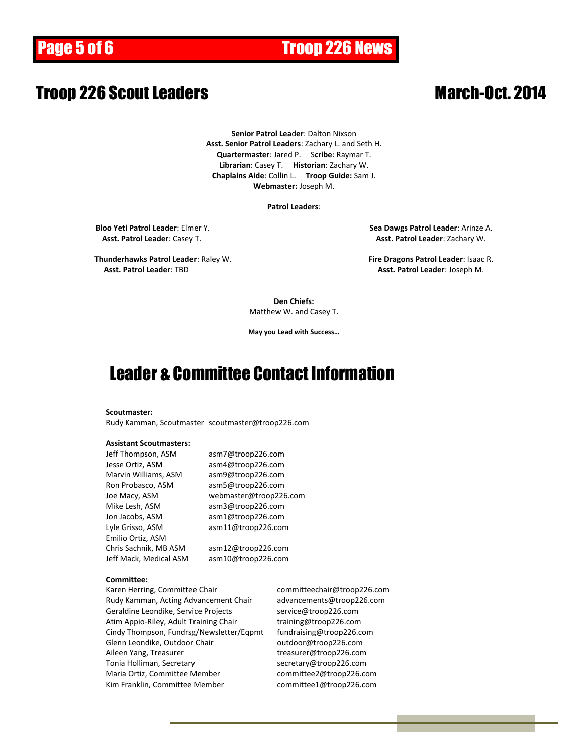# Page 5 of 6 **Troop 226 News**

#### **Troop 226 Scout Leaders March-Oct. 2014**

**Senior Patrol Lea**d**er**: Dalton Nixson **Asst. Senior Patrol Leaders**: Zachary L. and Seth H. **Quartermaster**: Jared P. S**cribe**: Raymar T. **Librarian**: Casey T. **Historian**: Zachary W. **Chaplains Aide**: Collin L. **Troop Guide:** Sam J. **Webmaster:** Joseph M.

#### **Patrol Leaders**:

**Bloo Yeti Patrol Leader**: Elmer Y. **Sea Dawgs Patrol Leader**: Arinze A. **Asst. Patrol Leader**: Casey T. **Asst. Patrol Leader**: Zachary W.

**Thunderhawks Patrol Leader**: Raley W. **Fire Dragons Patrol Leader**: Isaac R. **Asst. Patrol Leader**: TBD **Asst. Patrol Leader**: Joseph M.

**Den Chiefs:** Matthew W. and Casey T.

**May you Lead with Success…**

#### Leader & Committee Contact Information

#### **Scoutmaster:**

Rudy Kamman, Scoutmaster scoutmaster@troop226.com

#### **Assistant Scoutmasters:**

| Jeff Thompson, ASM     | asm7@troop226.com      |
|------------------------|------------------------|
| Jesse Ortiz, ASM       | asm4@troop226.com      |
| Marvin Williams, ASM   | asm9@troop226.com      |
| Ron Probasco, ASM      | asm5@troop226.com      |
| Joe Macy, ASM          | webmaster@troop226.com |
| Mike Lesh, ASM         | asm3@troop226.com      |
| Jon Jacobs, ASM        | asm1@troop226.com      |
| Lyle Grisso, ASM       | asm11@troop226.com     |
| Emilio Ortiz, ASM      |                        |
| Chris Sachnik, MB ASM  | asm12@troop226.com     |
| Jeff Mack, Medical ASM | asm10@troop226.com     |

#### **Committee:**

Karen Herring, Committee Chair committeechair@troop226.com Rudy Kamman, Acting Advancement Chair advancements@troop226.com Geraldine Leondike, Service Projects service@troop226.com Atim Appio-Riley, Adult Training Chair training@troop226.com Cindy Thompson, Fundrsg/Newsletter/Eqpmt fundraising@troop226.com Glenn Leondike, Outdoor Chair **come controlled as a controlled Chair** outdoor@troop226.com Aileen Yang, Treasurer treasurer@troop226.com Tonia Holliman, Secretary metal and the secretary@troop226.com Maria Ortiz, Committee Member committee2@troop226.com Kim Franklin, Committee Member committee1@troop226.com